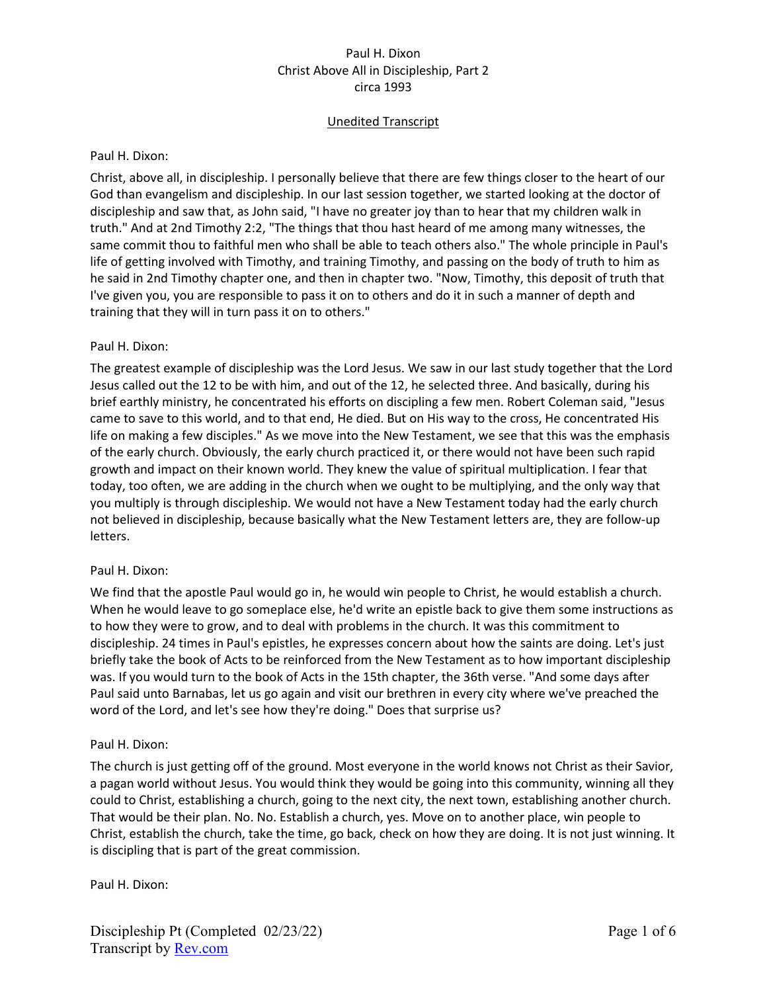# Unedited Transcript

### Paul H. Dixon:

Christ, above all, in discipleship. I personally believe that there are few things closer to the heart of our God than evangelism and discipleship. In our last session together, we started looking at the doctor of discipleship and saw that, as John said, "I have no greater joy than to hear that my children walk in truth." And at 2nd Timothy 2:2, "The things that thou hast heard of me among many witnesses, the same commit thou to faithful men who shall be able to teach others also." The whole principle in Paul's life of getting involved with Timothy, and training Timothy, and passing on the body of truth to him as he said in 2nd Timothy chapter one, and then in chapter two. "Now, Timothy, this deposit of truth that I've given you, you are responsible to pass it on to others and do it in such a manner of depth and training that they will in turn pass it on to others."

## Paul H. Dixon:

The greatest example of discipleship was the Lord Jesus. We saw in our last study together that the Lord Jesus called out the 12 to be with him, and out of the 12, he selected three. And basically, during his brief earthly ministry, he concentrated his efforts on discipling a few men. Robert Coleman said, "Jesus came to save to this world, and to that end, He died. But on His way to the cross, He concentrated His life on making a few disciples." As we move into the New Testament, we see that this was the emphasis of the early church. Obviously, the early church practiced it, or there would not have been such rapid growth and impact on their known world. They knew the value of spiritual multiplication. I fear that today, too often, we are adding in the church when we ought to be multiplying, and the only way that you multiply is through discipleship. We would not have a New Testament today had the early church not believed in discipleship, because basically what the New Testament letters are, they are follow-up letters.

### Paul H. Dixon:

We find that the apostle Paul would go in, he would win people to Christ, he would establish a church. When he would leave to go someplace else, he'd write an epistle back to give them some instructions as to how they were to grow, and to deal with problems in the church. It was this commitment to discipleship. 24 times in Paul's epistles, he expresses concern about how the saints are doing. Let's just briefly take the book of Acts to be reinforced from the New Testament as to how important discipleship was. If you would turn to the book of Acts in the 15th chapter, the 36th verse. "And some days after Paul said unto Barnabas, let us go again and visit our brethren in every city where we've preached the word of the Lord, and let's see how they're doing." Does that surprise us?

### Paul H. Dixon:

The church is just getting off of the ground. Most everyone in the world knows not Christ as their Savior, a pagan world without Jesus. You would think they would be going into this community, winning all they could to Christ, establishing a church, going to the next city, the next town, establishing another church. That would be their plan. No. No. Establish a church, yes. Move on to another place, win people to Christ, establish the church, take the time, go back, check on how they are doing. It is not just winning. It is discipling that is part of the great commission.

Paul H. Dixon: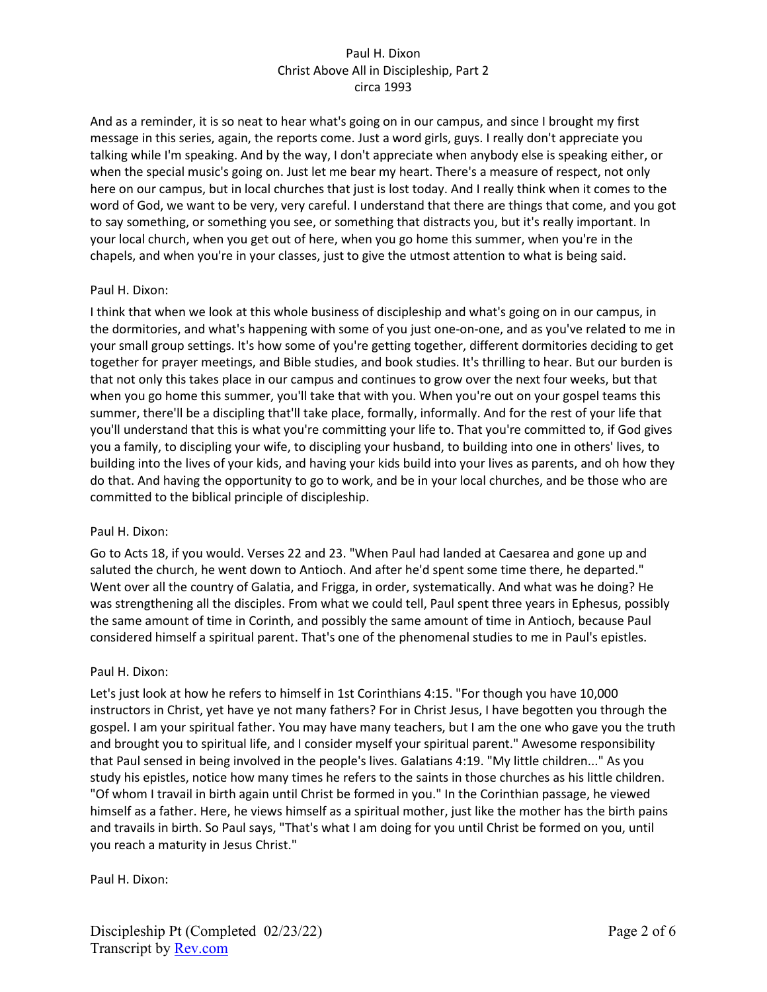And as a reminder, it is so neat to hear what's going on in our campus, and since I brought my first message in this series, again, the reports come. Just a word girls, guys. I really don't appreciate you talking while I'm speaking. And by the way, I don't appreciate when anybody else is speaking either, or when the special music's going on. Just let me bear my heart. There's a measure of respect, not only here on our campus, but in local churches that just is lost today. And I really think when it comes to the word of God, we want to be very, very careful. I understand that there are things that come, and you got to say something, or something you see, or something that distracts you, but it's really important. In your local church, when you get out of here, when you go home this summer, when you're in the chapels, and when you're in your classes, just to give the utmost attention to what is being said.

# Paul H. Dixon:

I think that when we look at this whole business of discipleship and what's going on in our campus, in the dormitories, and what's happening with some of you just one-on-one, and as you've related to me in your small group settings. It's how some of you're getting together, different dormitories deciding to get together for prayer meetings, and Bible studies, and book studies. It's thrilling to hear. But our burden is that not only this takes place in our campus and continues to grow over the next four weeks, but that when you go home this summer, you'll take that with you. When you're out on your gospel teams this summer, there'll be a discipling that'll take place, formally, informally. And for the rest of your life that you'll understand that this is what you're committing your life to. That you're committed to, if God gives you a family, to discipling your wife, to discipling your husband, to building into one in others' lives, to building into the lives of your kids, and having your kids build into your lives as parents, and oh how they do that. And having the opportunity to go to work, and be in your local churches, and be those who are committed to the biblical principle of discipleship.

# Paul H. Dixon:

Go to Acts 18, if you would. Verses 22 and 23. "When Paul had landed at Caesarea and gone up and saluted the church, he went down to Antioch. And after he'd spent some time there, he departed." Went over all the country of Galatia, and Frigga, in order, systematically. And what was he doing? He was strengthening all the disciples. From what we could tell, Paul spent three years in Ephesus, possibly the same amount of time in Corinth, and possibly the same amount of time in Antioch, because Paul considered himself a spiritual parent. That's one of the phenomenal studies to me in Paul's epistles.

# Paul H. Dixon:

Let's just look at how he refers to himself in 1st Corinthians 4:15. "For though you have 10,000 instructors in Christ, yet have ye not many fathers? For in Christ Jesus, I have begotten you through the gospel. I am your spiritual father. You may have many teachers, but I am the one who gave you the truth and brought you to spiritual life, and I consider myself your spiritual parent." Awesome responsibility that Paul sensed in being involved in the people's lives. Galatians 4:19. "My little children..." As you study his epistles, notice how many times he refers to the saints in those churches as his little children. "Of whom I travail in birth again until Christ be formed in you." In the Corinthian passage, he viewed himself as a father. Here, he views himself as a spiritual mother, just like the mother has the birth pains and travails in birth. So Paul says, "That's what I am doing for you until Christ be formed on you, until you reach a maturity in Jesus Christ."

# Paul H. Dixon: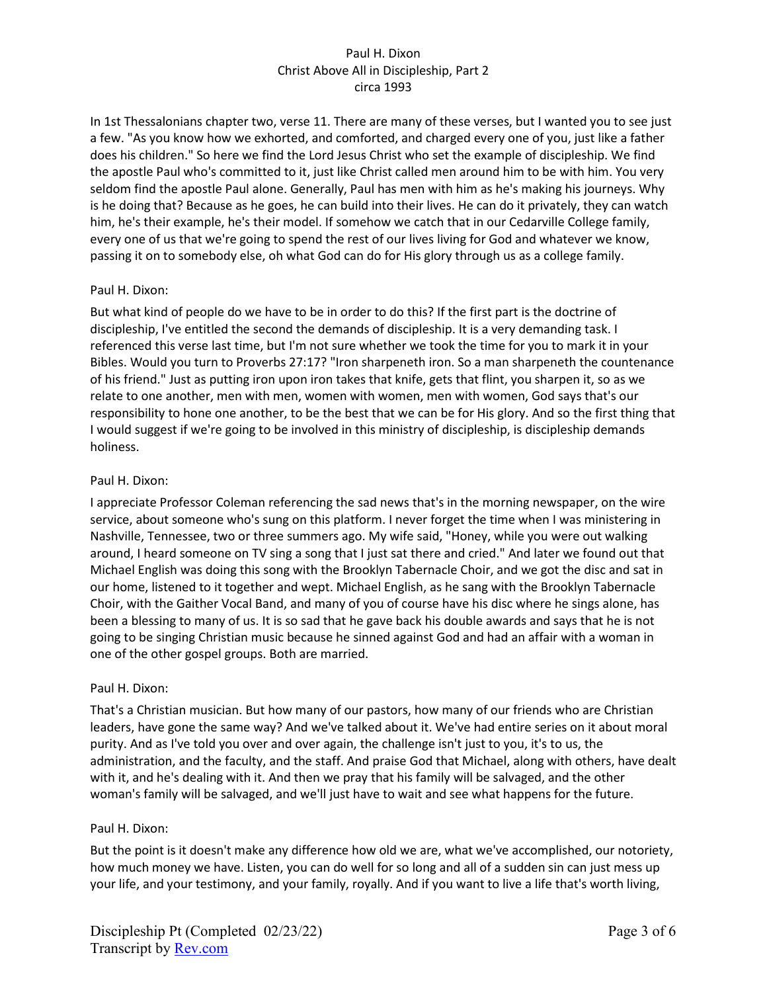In 1st Thessalonians chapter two, verse 11. There are many of these verses, but I wanted you to see just a few. "As you know how we exhorted, and comforted, and charged every one of you, just like a father does his children." So here we find the Lord Jesus Christ who set the example of discipleship. We find the apostle Paul who's committed to it, just like Christ called men around him to be with him. You very seldom find the apostle Paul alone. Generally, Paul has men with him as he's making his journeys. Why is he doing that? Because as he goes, he can build into their lives. He can do it privately, they can watch him, he's their example, he's their model. If somehow we catch that in our Cedarville College family, every one of us that we're going to spend the rest of our lives living for God and whatever we know, passing it on to somebody else, oh what God can do for His glory through us as a college family.

## Paul H. Dixon:

But what kind of people do we have to be in order to do this? If the first part is the doctrine of discipleship, I've entitled the second the demands of discipleship. It is a very demanding task. I referenced this verse last time, but I'm not sure whether we took the time for you to mark it in your Bibles. Would you turn to Proverbs 27:17? "Iron sharpeneth iron. So a man sharpeneth the countenance of his friend." Just as putting iron upon iron takes that knife, gets that flint, you sharpen it, so as we relate to one another, men with men, women with women, men with women, God says that's our responsibility to hone one another, to be the best that we can be for His glory. And so the first thing that I would suggest if we're going to be involved in this ministry of discipleship, is discipleship demands holiness.

## Paul H. Dixon:

I appreciate Professor Coleman referencing the sad news that's in the morning newspaper, on the wire service, about someone who's sung on this platform. I never forget the time when I was ministering in Nashville, Tennessee, two or three summers ago. My wife said, "Honey, while you were out walking around, I heard someone on TV sing a song that I just sat there and cried." And later we found out that Michael English was doing this song with the Brooklyn Tabernacle Choir, and we got the disc and sat in our home, listened to it together and wept. Michael English, as he sang with the Brooklyn Tabernacle Choir, with the Gaither Vocal Band, and many of you of course have his disc where he sings alone, has been a blessing to many of us. It is so sad that he gave back his double awards and says that he is not going to be singing Christian music because he sinned against God and had an affair with a woman in one of the other gospel groups. Both are married.

# Paul H. Dixon:

That's a Christian musician. But how many of our pastors, how many of our friends who are Christian leaders, have gone the same way? And we've talked about it. We've had entire series on it about moral purity. And as I've told you over and over again, the challenge isn't just to you, it's to us, the administration, and the faculty, and the staff. And praise God that Michael, along with others, have dealt with it, and he's dealing with it. And then we pray that his family will be salvaged, and the other woman's family will be salvaged, and we'll just have to wait and see what happens for the future.

### Paul H. Dixon:

But the point is it doesn't make any difference how old we are, what we've accomplished, our notoriety, how much money we have. Listen, you can do well for so long and all of a sudden sin can just mess up your life, and your testimony, and your family, royally. And if you want to live a life that's worth living,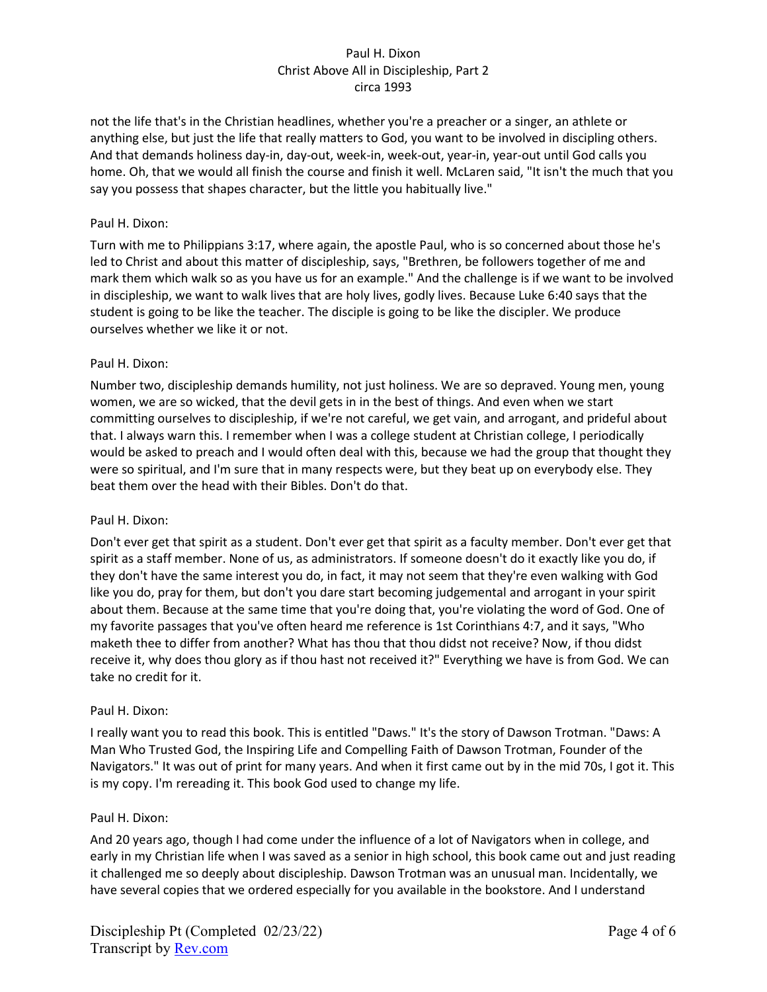not the life that's in the Christian headlines, whether you're a preacher or a singer, an athlete or anything else, but just the life that really matters to God, you want to be involved in discipling others. And that demands holiness day-in, day-out, week-in, week-out, year-in, year-out until God calls you home. Oh, that we would all finish the course and finish it well. McLaren said, "It isn't the much that you say you possess that shapes character, but the little you habitually live."

## Paul H. Dixon:

Turn with me to Philippians 3:17, where again, the apostle Paul, who is so concerned about those he's led to Christ and about this matter of discipleship, says, "Brethren, be followers together of me and mark them which walk so as you have us for an example." And the challenge is if we want to be involved in discipleship, we want to walk lives that are holy lives, godly lives. Because Luke 6:40 says that the student is going to be like the teacher. The disciple is going to be like the discipler. We produce ourselves whether we like it or not.

## Paul H. Dixon:

Number two, discipleship demands humility, not just holiness. We are so depraved. Young men, young women, we are so wicked, that the devil gets in in the best of things. And even when we start committing ourselves to discipleship, if we're not careful, we get vain, and arrogant, and prideful about that. I always warn this. I remember when I was a college student at Christian college, I periodically would be asked to preach and I would often deal with this, because we had the group that thought they were so spiritual, and I'm sure that in many respects were, but they beat up on everybody else. They beat them over the head with their Bibles. Don't do that.

### Paul H. Dixon:

Don't ever get that spirit as a student. Don't ever get that spirit as a faculty member. Don't ever get that spirit as a staff member. None of us, as administrators. If someone doesn't do it exactly like you do, if they don't have the same interest you do, in fact, it may not seem that they're even walking with God like you do, pray for them, but don't you dare start becoming judgemental and arrogant in your spirit about them. Because at the same time that you're doing that, you're violating the word of God. One of my favorite passages that you've often heard me reference is 1st Corinthians 4:7, and it says, "Who maketh thee to differ from another? What has thou that thou didst not receive? Now, if thou didst receive it, why does thou glory as if thou hast not received it?" Everything we have is from God. We can take no credit for it.

### Paul H. Dixon:

I really want you to read this book. This is entitled "Daws." It's the story of Dawson Trotman. "Daws: A Man Who Trusted God, the Inspiring Life and Compelling Faith of Dawson Trotman, Founder of the Navigators." It was out of print for many years. And when it first came out by in the mid 70s, I got it. This is my copy. I'm rereading it. This book God used to change my life.

### Paul H. Dixon:

And 20 years ago, though I had come under the influence of a lot of Navigators when in college, and early in my Christian life when I was saved as a senior in high school, this book came out and just reading it challenged me so deeply about discipleship. Dawson Trotman was an unusual man. Incidentally, we have several copies that we ordered especially for you available in the bookstore. And I understand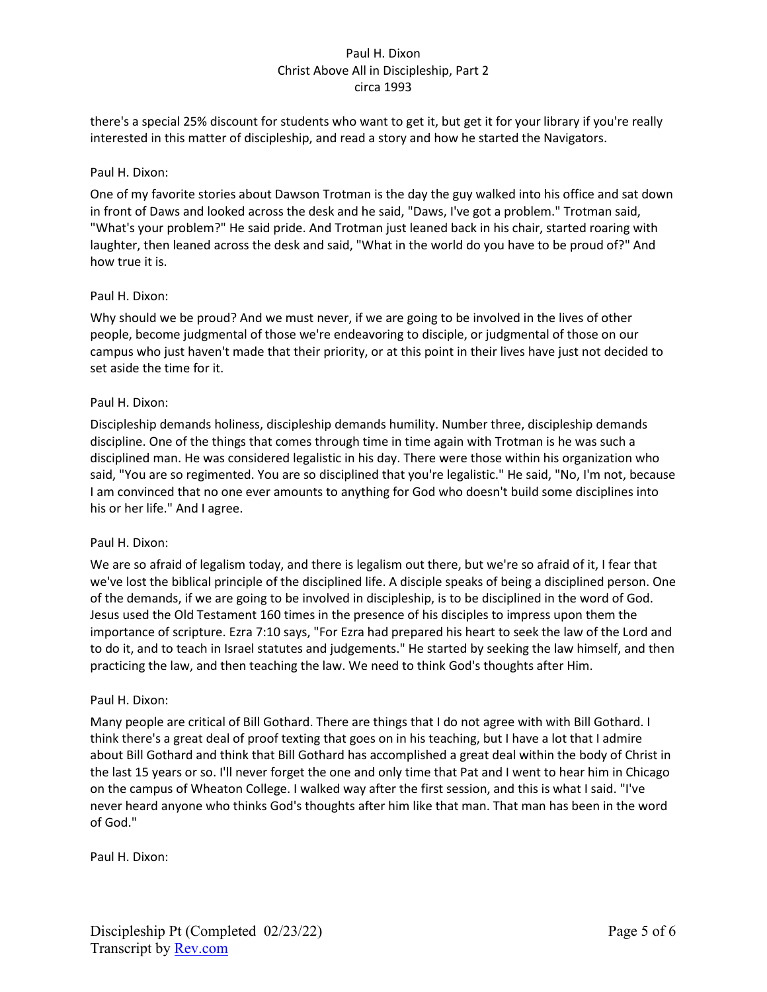there's a special 25% discount for students who want to get it, but get it for your library if you're really interested in this matter of discipleship, and read a story and how he started the Navigators.

## Paul H. Dixon:

One of my favorite stories about Dawson Trotman is the day the guy walked into his office and sat down in front of Daws and looked across the desk and he said, "Daws, I've got a problem." Trotman said, "What's your problem?" He said pride. And Trotman just leaned back in his chair, started roaring with laughter, then leaned across the desk and said, "What in the world do you have to be proud of?" And how true it is.

## Paul H. Dixon:

Why should we be proud? And we must never, if we are going to be involved in the lives of other people, become judgmental of those we're endeavoring to disciple, or judgmental of those on our campus who just haven't made that their priority, or at this point in their lives have just not decided to set aside the time for it.

## Paul H. Dixon:

Discipleship demands holiness, discipleship demands humility. Number three, discipleship demands discipline. One of the things that comes through time in time again with Trotman is he was such a disciplined man. He was considered legalistic in his day. There were those within his organization who said, "You are so regimented. You are so disciplined that you're legalistic." He said, "No, I'm not, because I am convinced that no one ever amounts to anything for God who doesn't build some disciplines into his or her life." And I agree.

### Paul H. Dixon:

We are so afraid of legalism today, and there is legalism out there, but we're so afraid of it, I fear that we've lost the biblical principle of the disciplined life. A disciple speaks of being a disciplined person. One of the demands, if we are going to be involved in discipleship, is to be disciplined in the word of God. Jesus used the Old Testament 160 times in the presence of his disciples to impress upon them the importance of scripture. Ezra 7:10 says, "For Ezra had prepared his heart to seek the law of the Lord and to do it, and to teach in Israel statutes and judgements." He started by seeking the law himself, and then practicing the law, and then teaching the law. We need to think God's thoughts after Him.

### Paul H. Dixon:

Many people are critical of Bill Gothard. There are things that I do not agree with with Bill Gothard. I think there's a great deal of proof texting that goes on in his teaching, but I have a lot that I admire about Bill Gothard and think that Bill Gothard has accomplished a great deal within the body of Christ in the last 15 years or so. I'll never forget the one and only time that Pat and I went to hear him in Chicago on the campus of Wheaton College. I walked way after the first session, and this is what I said. "I've never heard anyone who thinks God's thoughts after him like that man. That man has been in the word of God."

Paul H. Dixon: